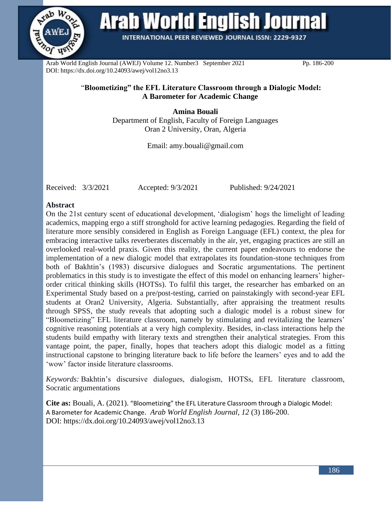

**Arab World English Journal** 

**INTERNATIONAL PEER REVIEWED JOURNAL ISSN: 2229-9327** 

Arab World English Journal (AWEJ) Volume 12. Number3 September 2021 Pp. 186-200 DOI: https://dx.doi.org/10.24093/awej/vol12no3.13

## "**Bloometizing" the EFL Literature Classroom through a Dialogic Model: A Barometer for Academic Change**

**Amina Bouali** Department of English, Faculty of Foreign Languages Oran 2 University, Oran, Algeria

Email: amy.bouali@gmail.com

Received: 3/3/2021 Accepted: 9/3/2021 Published: 9/24/2021

## **Abstract**

On the 21st century scent of educational development, 'dialogism' hogs the limelight of leading academics, mapping ergo a stiff stronghold for active learning pedagogies. Regarding the field of literature more sensibly considered in English as Foreign Language (EFL) context, the plea for embracing interactive talks reverberates discernably in the air, yet, engaging practices are still an overlooked real-world praxis. Given this reality, the current paper endeavours to endorse the implementation of a new dialogic model that extrapolates its foundation-stone techniques from both of Bakhtin's (1983) discursive dialogues and Socratic argumentations. The pertinent problematics in this study is to investigate the effect of this model on enhancing learners' higherorder critical thinking skills (HOTSs). To fulfil this target, the researcher has embarked on an Experimental Study based on a pre/post-testing, carried on painstakingly with second-year EFL students at Oran2 University, Algeria. Substantially, after appraising the treatment results through SPSS, the study reveals that adopting such a dialogic model is a robust sinew for "Bloometizing" EFL literature classroom, namely by stimulating and revitalizing the learners' cognitive reasoning potentials at a very high complexity. Besides, in-class interactions help the students build empathy with literary texts and strengthen their analytical strategies. From this vantage point, the paper, finally, hopes that teachers adopt this dialogic model as a fitting instructional capstone to bringing literature back to life before the learners' eyes and to add the 'wow' factor inside literature classrooms.

*Keywords:* Bakhtin's discursive dialogues, dialogism, HOTSs, EFL literature classroom, Socratic argumentations

**Cite as:** Bouali, A. (2021). "Bloometizing" the EFL Literature Classroom through a Dialogic Model: A Barometer for Academic Change. *Arab World English Journal, 12* (3) 186-200. DOI: https://dx.doi.org/10.24093/awej/vol12no3.13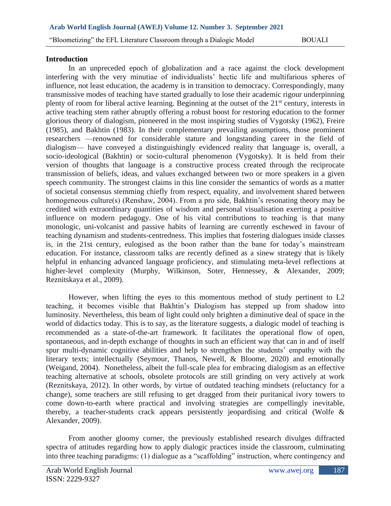## **Introduction**

In an unpreceded epoch of globalization and a race against the clock development interfering with the very minutiae of individualists' hectic life and multifarious spheres of influence, not least education, the academy is in transition to democracy. Correspondingly, many transmissive modes of teaching have started gradually to lose their academic rigour underpinning plenty of room for liberal active learning. Beginning at the outset of the 21<sup>st</sup> century, interests in active teaching stem rather abruptly offering a robust boost for restoring education to the former glorious theory of dialogism, pioneered in the most inspiring studies of Vygotsky (1962), Freire (1985), and Bakhtin (1983). In their complementary prevailing assumptions, those prominent researchers —renowned for considerable stature and longstanding career in the field of dialogism— have conveyed a distinguishingly evidenced reality that language is, overall, a socio-ideological (Bakhtin) or socio-cultural phenomenon (Vygotsky). It is held from their version of thoughts that language is a constructive process created through the reciprocate transmission of beliefs, ideas, and values exchanged between two or more speakers in a given speech community. The strongest claims in this line consider the semantics of words as a matter of societal consensus stemming chiefly from respect, equality, and involvement shared between homogeneous culture(s) (Renshaw, 2004). From a pro side, Bakhtin's resonating theory may be credited with extraordinary quantities of wisdom and personal visualisation exerting a positive influence on modern pedagogy. One of his vital contributions to teaching is that many monologic, uni-volcanist and passive habits of learning are currently eschewed in favour of teaching dynamism and students-centredness. This implies that fostering dialogues inside classes is, in the 21st century, eulogised as the boon rather than the bane for today's mainstream education. For instance, classroom talks are recently defined as a sinew strategy that is likely helpful in enhancing advanced language proficiency, and stimulating meta-level reflections at higher-level complexity (Murphy, Wilkinson, Soter, Hennessey, & Alexander, 2009; Reznitskaya et al., 2009).

However, when lifting the eyes to this momentous method of study pertinent to L2 teaching, it becomes visible that Bakhtin's Dialogism has stepped up from shadow into luminosity. Nevertheless, this beam of light could only brighten a diminutive deal of space in the world of didactics today. This is to say, as the literature suggests, a dialogic model of teaching is recommended as a state-of-the-art framework. It facilitates the operational flow of open, spontaneous, and in-depth exchange of thoughts in such an efficient way that can in and of itself spur multi-dynamic cognitive abilities and help to strengthen the students' empathy with the literary texts; intellectually (Seymour, Thanos, Newell, & Bloome, 2020) and emotionally (Weigand, 2004). Nonetheless, albeit the full-scale plea for embracing dialogism as an effective teaching alternative at schools, obsolete protocols are still grinding on very actively at work (Reznitskaya, 2012). In other words, by virtue of outdated teaching mindsets (reluctancy for a change), some teachers are still refusing to get dragged from their puritanical ivory towers to come down-to-earth where practical and involving strategies are compellingly inevitable, thereby, a teacher-students crack appears persistently jeopardising and critical (Wolfe & Alexander, 2009).

From another gloomy corner, the previously established research divulges diffracted spectra of attitudes regarding how to apply dialogic practices inside the classroom, culminating into three teaching paradigms: (1) dialogue as a "scaffolding" instruction, where contingency and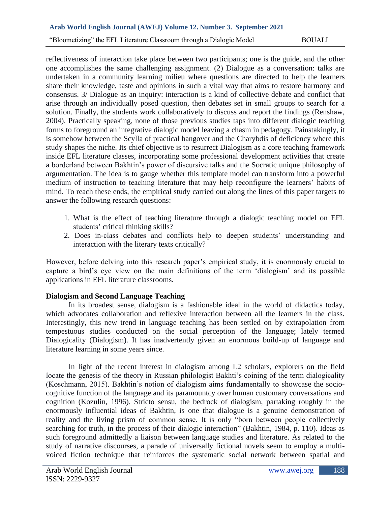"Bloometizing" the EFL Literature Classroom through a Dialogic Model BOUALI

reflectiveness of interaction take place between two participants; one is the guide, and the other one accomplishes the same challenging assignment. (2) Dialogue as a conversation: talks are undertaken in a community learning milieu where questions are directed to help the learners share their knowledge, taste and opinions in such a vital way that aims to restore harmony and consensus. 3/ Dialogue as an inquiry: interaction is a kind of collective debate and conflict that arise through an individually posed question, then debates set in small groups to search for a solution. Finally, the students work collaboratively to discuss and report the findings (Renshaw, 2004). Practically speaking, none of those previous studies taps into different dialogic teaching forms to foreground an integrative dialogic model leaving a chasm in pedagogy. Painstakingly, it is somehow between the Scylla of practical hangover and the Charybdis of deficiency where this study shapes the niche. Its chief objective is to resurrect Dialogism as a core teaching framework inside EFL literature classes, incorporating some professional development activities that create a borderland between Bakhtin's power of discursive talks and the Socratic unique philosophy of argumentation. The idea is to gauge whether this template model can transform into a powerful medium of instruction to teaching literature that may help reconfigure the learners' habits of mind. To reach these ends, the empirical study carried out along the lines of this paper targets to answer the following research questions:

- 1. What is the effect of teaching literature through a dialogic teaching model on EFL students' critical thinking skills?
- 2. Does in-class debates and conflicts help to deepen students' understanding and interaction with the literary texts critically?

However, before delving into this research paper's empirical study, it is enormously crucial to capture a bird's eye view on the main definitions of the term 'dialogism' and its possible applications in EFL literature classrooms.

# **Dialogism and Second Language Teaching**

In its broadest sense, dialogism is a fashionable ideal in the world of didactics today, which advocates collaboration and reflexive interaction between all the learners in the class. Interestingly, this new trend in language teaching has been settled on by extrapolation from tempestuous studies conducted on the social perception of the language; lately termed Dialogicality (Dialogism). It has inadvertently given an enormous build-up of language and literature learning in some years since.

In light of the recent interest in dialogism among L2 scholars, explorers on the field locate the genesis of the theory in Russian philologist Bakhti's coining of the term dialogicality (Koschmann, 2015). Bakhtin's notion of dialogism aims fundamentally to showcase the sociocognitive function of the language and its paramountcy over human customary conversations and cognition (Kozulin, 1996). Stricto sensu, the bedrock of dialogism, partaking roughly in the enormously influential ideas of Bakhtin, is one that dialogue is a genuine demonstration of reality and the living prism of common sense. It is only "born between people collectively searching for truth, in the process of their dialogic interaction" (Bakhtin, 1984, p. 110). Ideas as such foreground admittedly a liaison between language studies and literature. As related to the study of narrative discourses, a parade of universally fictional novels seem to employ a multivoiced fiction technique that reinforces the systematic social network between spatial and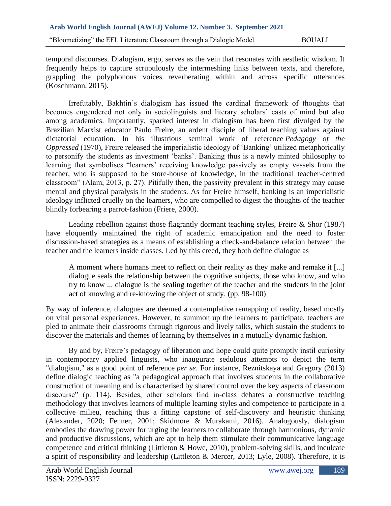temporal discourses. Dialogism, ergo, serves as the vein that resonates with aesthetic wisdom. It frequently helps to capture scrupulously the intermeshing links between texts, and therefore, grappling the polyphonous voices reverberating within and across specific utterances (Koschmann, 2015).

Irrefutably, Bakhtin's dialogism has issued the cardinal framework of thoughts that becomes engendered not only in sociolinguists and literary scholars' casts of mind but also among academics. Importantly, sparked interest in dialogism has been first divulged by the Brazilian Marxist educator Paulo Freire, an ardent disciple of liberal teaching values against dictatorial education. In his illustrious seminal work of reference *Pedagogy of the Oppressed* (1970), Freire released the imperialistic ideology of 'Banking' utilized metaphorically to personify the students as investment 'banks'. Banking thus is a newly minted philosophy to learning that symbolises "learners' receiving knowledge passively as empty vessels from the teacher, who is supposed to be store-house of knowledge, in the traditional teacher-centred classroom" (Alam, 2013, p. 27). Pitifully then, the passivity prevalent in this strategy may cause mental and physical paralysis in the students. As for Freire himself, banking is an imperialistic ideology inflicted cruelly on the learners, who are compelled to digest the thoughts of the teacher blindly forbearing a parrot-fashion (Friere, 2000).

Leading rebellion against those flagrantly dormant teaching styles, Freire & Shor (1987) have eloquently maintained the right of academic emancipation and the need to foster discussion-based strategies as a means of establishing a check-and-balance relation between the teacher and the learners inside classes. Led by this creed, they both define dialogue as

A moment where humans meet to reflect on their reality as they make and remake it [...] dialogue seals the relationship between the cognitive subjects, those who know, and who try to know ... dialogue is the sealing together of the teacher and the students in the joint act of knowing and re-knowing the object of study. (pp. 98-100)

By way of inference, dialogues are deemed a contemplative remapping of reality, based mostly on vital personal experiences. However, to summon up the learners to participate, teachers are pled to animate their classrooms through rigorous and lively talks, which sustain the students to discover the materials and themes of learning by themselves in a mutually dynamic fashion.

By and by, Freire's pedagogy of liberation and hope could quite promptly instil curiosity in contemporary applied linguists, who inaugurate sedulous attempts to depict the term "dialogism," as a good point of reference *per se*. For instance, Reznitskaya and Gregory (2013) define dialogic teaching as "a pedagogical approach that involves students in the collaborative construction of meaning and is characterised by shared control over the key aspects of classroom discourse" (p. 114). Besides, other scholars find in-class debates a constructive teaching methodology that involves learners of multiple learning styles and competence to participate in a collective milieu, reaching thus a fitting capstone of self-discovery and heuristic thinking (Alexander, 2020; Fenner, 2001; Skidmore & Murakami, 2016). Analogously, dialogism embodies the drawing power for urging the learners to collaborate through harmonious, dynamic and productive discussions, which are apt to help them stimulate their communicative language competence and critical thinking (Littleton & Howe, 2010), problem-solving skills, and inculcate a spirit of responsibility and leadership (Littleton & Mercer, 2013; Lyle, 2008). Therefore, it is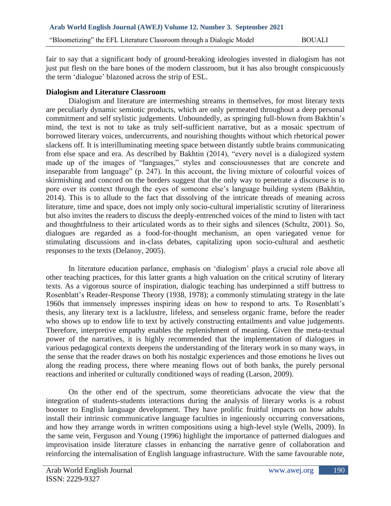fair to say that a significant body of ground-breaking ideologies invested in dialogism has not just put flesh on the bare bones of the modern classroom, but it has also brought conspicuously the term 'dialogue' blazoned across the strip of ESL.

## **Dialogism and Literature Classroom**

Dialogism and literature are intermeshing streams in themselves, for most literary texts are peculiarly dynamic semiotic products, which are only permeated throughout a deep personal commitment and self stylistic judgements. Unboundedly, as springing full-blown from Bakhtin's mind, the text is not to take as truly self-sufficient narrative, but as a mosaic spectrum of borrowed literary voices, undercurrents, and nourishing thoughts without which rhetorical power slackens off. It is interilluminating meeting space between distantly subtle brains communicating from else space and era. As described by Bakhtin (2014), "every novel is a dialogized system made up of the images of "languages," styles and consciousnesses that are concrete and inseparable from language" (p. 247). In this account, the living mixture of colourful voices of skirmishing and concord on the borders suggest that the only way to penetrate a discourse is to pore over its context through the eyes of someone else's language building system (Bakhtin, 2014). This is to allude to the fact that dissolving of the intricate threads of meaning across literature, time and space, does not imply only socio-cultural imperialistic scrutiny of literariness but also invites the readers to discuss the deeply-entrenched voices of the mind to listen with tact and thoughtfulness to their articulated words as to their sighs and silences (Schultz, 2001). So, dialogues are regarded as a food-for-thought mechanism, an open variegated venue for stimulating discussions and in-class debates, capitalizing upon socio-cultural and aesthetic responses to the texts (Delanoy, 2005).

In literature education parlance, emphasis on 'dialogism' plays a crucial role above all other teaching practices, for this latter grants a high valuation on the critical scrutiny of literary texts. As a vigorous source of inspiration, dialogic teaching has underpinned a stiff buttress to Rosenblatt's Reader-Response Theory (1938, 1978); a commonly stimulating strategy in the late 1960s that immensely impresses inspiring ideas on how to respond to arts. To Rosenblatt's thesis, any literary text is a lacklustre, lifeless, and senseless organic frame, before the reader who shows up to endow life to text by actively constructing entailments and value judgements. Therefore, interpretive empathy enables the replenishment of meaning. Given the meta-textual power of the narratives, it is highly recommended that the implementation of dialogues in various pedagogical contexts deepens the understanding of the literary work in so many ways, in the sense that the reader draws on both his nostalgic experiences and those emotions he lives out along the reading process, there where meaning flows out of both banks, the purely personal reactions and inherited or culturally conditioned ways of reading (Larson, 2009).

On the other end of the spectrum, some theoreticians advocate the view that the integration of students-students interactions during the analysis of literary works is a robust booster to English language development. They have prolific fruitful impacts on how adults install their intrinsic communicative language faculties in ingeniously occurring conversations, and how they arrange words in written compositions using a high-level style (Wells, 2009). In the same vein, Ferguson and Young (1996) highlight the importance of patterned dialogues and improvisation inside literature classes in enhancing the narrative genre of collaboration and reinforcing the internalisation of English language infrastructure. With the same favourable note,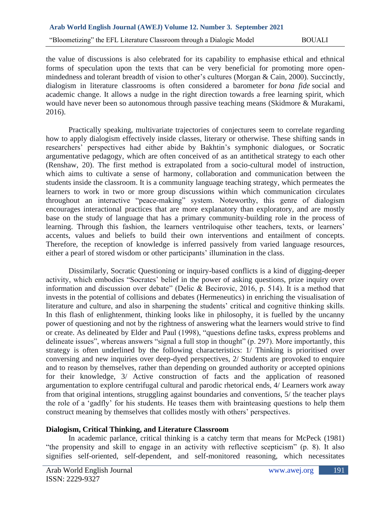the value of discussions is also celebrated for its capability to emphasise ethical and ethnical forms of speculation upon the texts that can be very beneficial for promoting more openmindedness and tolerant breadth of vision to other's cultures (Morgan & Cain, 2000). Succinctly, dialogism in literature classrooms is often considered a barometer for *bona fide* social and academic change. It allows a nudge in the right direction towards a free learning spirit, which would have never been so autonomous through passive teaching means (Skidmore & Murakami, 2016).

Practically speaking, multivariate trajectories of conjectures seem to correlate regarding how to apply dialogism effectively inside classes, literary or otherwise. These shifting sands in researchers' perspectives had either abide by Bakhtin's symphonic dialogues, or Socratic argumentative pedagogy, which are often conceived of as an antithetical strategy to each other (Renshaw, 20). The first method is extrapolated from a socio-cultural model of instruction, which aims to cultivate a sense of harmony, collaboration and communication between the students inside the classroom. It is a community language teaching strategy, which permeates the learners to work in two or more group discussions within which communication circulates throughout an interactive "peace-making" system. Noteworthy, this genre of dialogism encourages interactional practices that are more explanatory than exploratory, and are mostly base on the study of language that has a primary community-building role in the process of learning. Through this fashion, the learners ventriloquise other teachers, texts, or learners' accents, values and beliefs to build their own interventions and entailment of concepts. Therefore, the reception of knowledge is inferred passively from varied language resources, either a pearl of stored wisdom or other participants' illumination in the class.

Dissimilarly, Socratic Questioning or inquiry-based conflicts is a kind of digging-deeper activity, which embodies "Socrates' belief in the power of asking questions, prize inquiry over information and discussion over debate" (Delic & Becirovic, 2016, p. 514). It is a method that invests in the potential of collisions and debates (Hermeneutics) in enriching the visualisation of literature and culture, and also in sharpening the students' critical and cognitive thinking skills. In this flash of enlightenment, thinking looks like in philosophy, it is fuelled by the uncanny power of questioning and not by the rightness of answering what the learners would strive to find or create. As delineated by Elder and Paul (1998), "questions define tasks, express problems and delineate issues", whereas answers "signal a full stop in thought" (p. 297). More importantly, this strategy is often underlined by the following characteristics: 1/ Thinking is prioritised over conversing and new inquiries over deep-dyed perspectives, 2/ Students are provoked to enquire and to reason by themselves, rather than depending on grounded authority or accepted opinions for their knowledge, 3/ Active construction of facts and the application of reasoned argumentation to explore centrifugal cultural and parodic rhetorical ends, 4/ Learners work away from that original intentions, struggling against boundaries and conventions, 5/ the teacher plays the role of a 'gadfly' for his students. He teases them with brainteasing questions to help them construct meaning by themselves that collides mostly with others' perspectives.

# **Dialogism, Critical Thinking, and Literature Classroom**

In academic parlance, critical thinking is a catchy term that means for McPeck (1981) "the propensity and skill to engage in an activity with reflective scepticism" (p. 8). It also signifies self-oriented, self-dependent, and self-monitored reasoning, which necessitates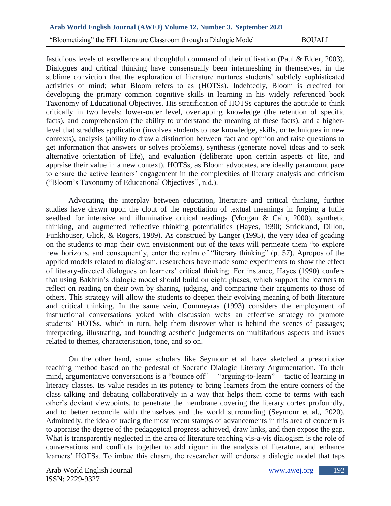"Bloometizing" the EFL Literature Classroom through a Dialogic Model BOUALI

fastidious levels of excellence and thoughtful command of their utilisation (Paul & Elder, 2003). Dialogues and critical thinking have consensually been intermeshing in themselves, in the sublime conviction that the exploration of literature nurtures students' subtlely sophisticated activities of mind; what Bloom refers to as (HOTSs). Indebtedly, Bloom is credited for developing the primary common cognitive skills in learning in his widely referenced book Taxonomy of Educational Objectives. His stratification of HOTSs captures the aptitude to think critically in two levels: lower-order level, overlapping knowledge (the retention of specific facts), and comprehension (the ability to understand the meaning of these facts), and a higherlevel that straddles application (involves students to use knowledge, skills, or techniques in new contexts), analysis (ability to draw a distinction between fact and opinion and raise questions to get information that answers or solves problems), synthesis (generate novel ideas and to seek alternative orientation of life), and evaluation (deliberate upon certain aspects of life, and appraise their value in a new context). HOTSs, as Bloom advocates, are ideally paramount pace to ensure the active learners' engagement in the complexities of literary analysis and criticism ("Bloom's Taxonomy of Educational Objectives", n.d.).

Advocating the interplay between education, literature and critical thinking, further studies have drawn upon the clout of the negotiation of textual meanings in forging a futile seedbed for intensive and illuminative critical readings (Morgan & Cain, 2000), synthetic thinking, and augmented reflective thinking potentialities (Hayes, 1990; Strickland, Dillon, Funkhouser, Glick, & Rogers, 1989). As construed by Langer (1995), the very idea of goading on the students to map their own envisionment out of the texts will permeate them "to explore new horizons, and consequently, enter the realm of "literary thinking" (p. 57). Apropos of the applied models related to dialogism, researchers have made some experiments to show the effect of literary-directed dialogues on learners' critical thinking. For instance, Hayes (1990) confers that using Bakhtin's dialogic model should build on eight phases, which support the learners to reflect on reading on their own by sharing, judging, and comparing their arguments to those of others. This strategy will allow the students to deepen their evolving meaning of both literature and critical thinking. In the same vein, Commeyras (1993) considers the employment of instructional conversations yoked with discussion webs an effective strategy to promote students' HOTSs, which in turn, help them discover what is behind the scenes of passages; interpreting, illustrating, and founding aesthetic judgements on multifarious aspects and issues related to themes, characterisation, tone, and so on.

On the other hand, some scholars like Seymour et al. have sketched a prescriptive teaching method based on the pedestal of Socratic Dialogic Literary Argumentation. To their mind, argumentative conversations is a "bounce off" —"arguing-to-learn"— tactic of learning in literacy classes. Its value resides in its potency to bring learners from the entire corners of the class talking and debating collaboratively in a way that helps them come to terms with each other's deviant viewpoints, to penetrate the membrane covering the literary cortex profoundly, and to better reconcile with themselves and the world surrounding (Seymour et al., 2020). Admittedly, the idea of tracing the most recent stamps of advancements in this area of concern is to appraise the degree of the pedagogical progress achieved, draw links, and then expose the gap. What is transparently neglected in the area of literature teaching vis-a-vis dialogism is the role of conversations and conflicts together to add rigour in the analysis of literature, and enhance learners' HOTSs. To imbue this chasm, the researcher will endorse a dialogic model that taps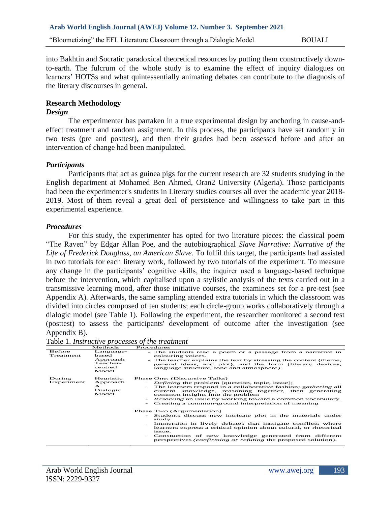into Bakhtin and Socratic paradoxical theoretical resources by putting them constructively downto-earth. The fulcrum of the whole study is to examine the effect of inquiry dialogues on learners' HOTSs and what quintessentially animating debates can contribute to the diagnosis of the literary discourses in general.

#### **Research Methodology**

#### *Design*

The experimenter has partaken in a true experimental design by anchoring in cause-andeffect treatment and random assignment. In this process, the participants have set randomly in two tests (pre and posttest), and then their grades had been assessed before and after an intervention of change had been manipulated.

#### *Participants*

Participants that act as guinea pigs for the current research are 32 students studying in the English department at Mohamed Ben Ahmed, Oran2 University (Algeria). Those participants had been the experimenter's students in Literary studies courses all over the academic year 2018- 2019. Most of them reveal a great deal of persistence and willingness to take part in this experimental experience.

## *Procedures*

For this study, the experimenter has opted for two literature pieces: the classical poem "The Raven" by Edgar Allan Poe, and the autobiographical *Slave Narrative: Narrative of the Life of Frederick Douglass, an American Slave*. To fulfil this target, the participants had assisted in two tutorials for each literary work, followed by two tutorials of the experiment. To measure any change in the participants' cognitive skills, the inquirer used a language-based technique before the intervention, which capitalised upon a stylistic analysis of the texts carried out in a transmissive learning mood, after those initiative courses, the examinees set for a pre-test (see Appendix A). Afterwards, the same sampling attended extra tutorials in which the classroom was divided into circles composed of ten students; each circle-group works collaboratively through a dialogic model (see Table 1). Following the experiment, the researcher monitored a second test (posttest) to assess the participants' development of outcome after the investigation (see Appendix B).

Table 1. *Instructive processes of the treatment*

|                      | Methods                                                        | Procedures                                                                                                                                                                                                                                                                                                                                                                       |
|----------------------|----------------------------------------------------------------|----------------------------------------------------------------------------------------------------------------------------------------------------------------------------------------------------------------------------------------------------------------------------------------------------------------------------------------------------------------------------------|
| Before<br>Treatment  | Language-<br>based<br>Approach<br>Teacher-<br>centred<br>Model | - The students read a poem or a passage from a narrative in<br>colouring voices.<br>- The teacher explains the text by stressing the content (theme,<br>general ideas, and plot), and the form (literary devices,<br>language structure, tone and atmosphere).                                                                                                                   |
| During<br>Experiment | Heuristic<br>Approach<br>$\triangle$<br>Dialogic<br>Model      | Phase One: (Discursive Talks)<br><i>Defining</i> the problem [question, topic, issue];<br>The learners respond in a collaborative fashion; gathering all<br>current knowledge, reasoning together, then generating<br>common insights into the problem<br><i>Resolving</i> an issue by working toward a common vocabulary.<br>Creating a common-ground interpretation of meaning |
|                      |                                                                | Phase Two (Argumentation)<br>- Students discuss new intricate plot in the materials under<br>study<br>Immersion in lively debates that instigate conflicts where<br>learners express a critical opinion about culural, or rhetorical<br>issue.<br>Constuction of new knowledge generated from different<br>perspectives <i>(confirming or refuting</i> the proposed solution).   |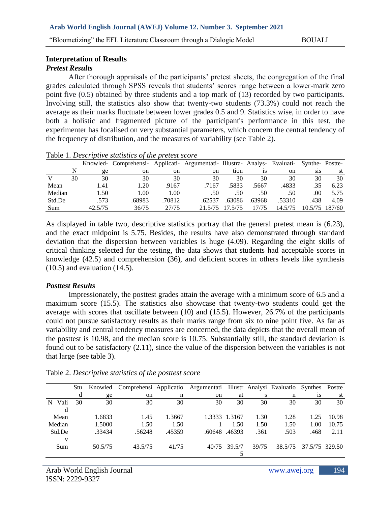"Bloometizing" the EFL Literature Classroom through a Dialogic Model BOUALI

# **Interpretation of Results**

# *Pretest Results*

After thorough appraisals of the participants' pretest sheets, the congregation of the final grades calculated through SPSS reveals that students' scores range between a lower-mark zero point five (0.5) obtained by three students and a top mark of (13) recorded by two participants. Involving still, the statistics also show that twenty-two students (73.3%) could not reach the average as their marks fluctuate between lower grades 0.5 and 9. Statistics wise, in order to have both a holistic and fragmented picture of the participant's performance in this test, the experimenter has focalised on very substantial parameters, which concern the central tendency of the frequency of distribution, and the measures of variability (see Table 2).

|        |    |         | Knowled- Comprehensi- Applicati- Argumentati- Illustra- Analys- Evaluati- Synthe-Postte- |               |         |         |           |               |                  |                |
|--------|----|---------|------------------------------------------------------------------------------------------|---------------|---------|---------|-----------|---------------|------------------|----------------|
|        |    | ge      | on                                                                                       | <sub>on</sub> | on      | tion    | <b>1S</b> | <sub>on</sub> | S <sub>1</sub> S | st             |
|        | 30 | 30      | 30                                                                                       | 30            | 30      | 30      | 30        | 30            | 30               | 30             |
| Mean   |    | 1.41    | 1.20                                                                                     | .9167         | .7167   | .5833   | .5667     | .4833         | .35              | 6.23           |
| Median |    | 1.50    | 1.00                                                                                     | 1.00          | .50     | .50     | .50       | .50           | .00              | 5.75           |
| Std.De |    | .573    | .68983                                                                                   | .70812        | .62537  | .63086  | .63968    | .53310        | .438             | 4.09           |
| Sum    |    | 42.5/75 | 36/75                                                                                    | 27/75         | 21.5/75 | 17.5/75 | 17/75     | 14.5/75       |                  | 10.5/75 187/60 |
|        |    |         |                                                                                          |               |         |         |           |               |                  |                |

#### Table 1. *Descriptive statistics of the pretest score*

As displayed in table two, descriptive statistics portray that the general pretest mean is (6.23), and the exact midpoint is 5.75. Besides, the results have also demonstrated through standard deviation that the dispersion between variables is huge (4.09). Regarding the eight skills of critical thinking selected for the testing, the data shows that students had acceptable scores in knowledge (42.5) and comprehension (36), and deficient scores in others levels like synthesis (10.5) and evaluation (14.5).

### *Posttest Results*

Impressionately, the posttest grades attain the average with a minimum score of 6.5 and a maximum score (15.5). The statistics also showcase that twenty-two students could get the average with scores that oscillate between (10) and (15.5). However, 26.7% of the participants could not pursue satisfactory results as their marks range from six to nine point five. As far as variability and central tendency measures are concerned, the data depicts that the overall mean of the posttest is 10.98, and the median score is 10.75. Substantially still, the standard deviation is found out to be satisfactory (2.11), since the value of the dispersion between the variables is not that large (see table 3).

|   |        | Stu - | Knowled | Comprehensi Applicatio Argumentati Illustr Analysi Evaluatio |        |               |               |       |         | Synthes        | Postte |
|---|--------|-------|---------|--------------------------------------------------------------|--------|---------------|---------------|-------|---------|----------------|--------|
|   |        | d     | ge      | on                                                           | n      | <sub>on</sub> | at            | S     | n       | 1S             | st     |
| N | Vali   | 30    | 30      | 30                                                           | 30     | 30            | 30            | 30    | 30      | 30             | 30     |
|   | d      |       |         |                                                              |        |               |               |       |         |                |        |
|   | Mean   |       | 1.6833  | 1.45                                                         | 1.3667 |               | 1.3333 1.3167 | 1.30  | 1.28    | 1.25           | 10.98  |
|   | Median |       | 1.5000  | 1.50                                                         | 1.50   |               | 1.50          | 1.50  | 1.50    | 1.00           | 10.75  |
|   | Std.De |       | .33434  | .56248                                                       | .45359 |               | .60648.46393  | .361  | .503    | .468           | 2.11   |
|   | V      |       |         |                                                              |        |               |               |       |         |                |        |
|   | Sum    |       | 50.5/75 | 43.5/75                                                      | 41/75  | 40/75         | 39.5/7        | 39/75 | 38.5/75 | 37.5/75 329.50 |        |
|   |        |       |         |                                                              |        |               |               |       |         |                |        |

Table 2. *Descriptive statistics of the posttest score*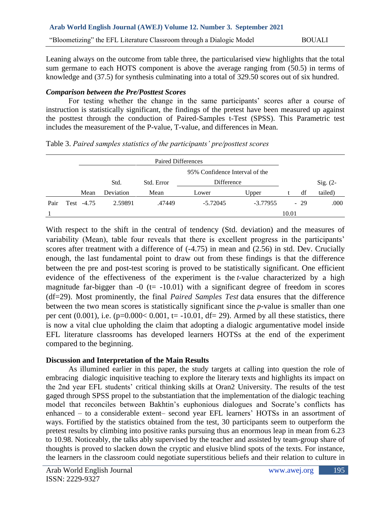Leaning always on the outcome from table three, the particularised view highlights that the total sum germane to each HOTS component is above the average ranging from (50.5) in terms of knowledge and (37.5) for synthesis culminating into a total of 329.50 scores out of six hundred.

# *Comparison between the Pre/Posttest Scores*

For testing whether the change in the same participants' scores after a course of instruction is statistically significant, the findings of the pretest have been measured up against the posttest through the conduction of Paired-Samples t-Test (SPSS). This Parametric test includes the measurement of the P-value, T-value, and differences in Mean.

|      | Paired Differences |                                |           |            |            |            |       |       |            |
|------|--------------------|--------------------------------|-----------|------------|------------|------------|-------|-------|------------|
|      |                    | 95% Confidence Interval of the |           |            |            |            |       |       |            |
|      |                    |                                | Std.      | Std. Error | Difference |            |       |       | $Sig. (2-$ |
|      |                    | Mean                           | Deviation | Mean       | Lower      | Upper      |       | df    | tailed)    |
| Pair |                    | Test -4.75                     | 2.59891   | .47449     | $-5.72045$ | $-3.77955$ |       | $-29$ | .000       |
|      |                    |                                |           |            |            |            | 10.01 |       |            |

Table 3. *Paired samples statistics of the participants' pre/posttest scores* 

With respect to the shift in the central of tendency (Std. deviation) and the measures of variability (Mean), table four reveals that there is excellent progress in the participants' scores after treatment with a difference of (-4.75) in mean and (2.56) in std. Dev. Crucially enough, the last fundamental point to draw out from these findings is that the difference between the pre and post-test scoring is proved to be statistically significant. One efficient evidence of the effectiveness of the experiment is the *t-*value characterized by a high magnitude far-bigger than  $-0$  (t=  $-10.01$ ) with a significant degree of freedom in scores (df=29). Most prominently, the final *Paired Samples Test* data ensures that the difference between the two mean scores is statistically significant since the *p*-value is smaller than one per cent  $(0.001)$ , i.e.  $(p=0.000<0.001$ ,  $t=-10.01$ ,  $df=29$ ). Armed by all these statistics, there is now a vital clue upholding the claim that adopting a dialogic argumentative model inside EFL literature classrooms has developed learners HOTSs at the end of the experiment compared to the beginning.

# **Discussion and Interpretation of the Main Results**

As illumined earlier in this paper, the study targets at calling into question the role of embracing dialogic inquisitive teaching to explore the literary texts and highlights its impact on the 2nd year EFL students' critical thinking skills at Oran2 University. The results of the test gaged through SPSS propel to the substantiation that the implementation of the dialogic teaching model that reconciles between Bakhtin's euphonious dialogues and Socrate's conflicts has enhanced – to a considerable extent– second year EFL learners' HOTSs in an assortment of ways. Fortified by the statistics obtained from the test, 30 participants seem to outperform the pretest results by climbing into positive ranks pursuing thus an enormous leap in mean from 6.23 to 10.98. Noticeably, the talks ably supervised by the teacher and assisted by team-group share of thoughts is proved to slacken down the cryptic and elusive blind spots of the texts. For instance, the learners in the classroom could negotiate superstitious beliefs and their relation to culture in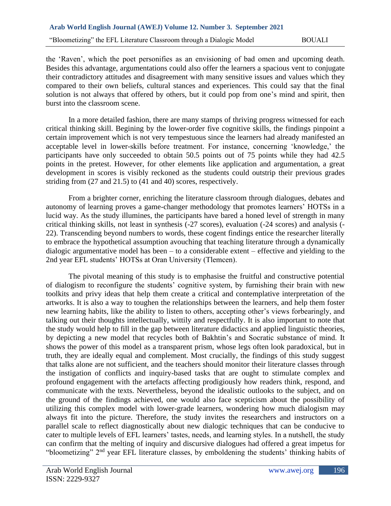the 'Raven', which the poet personifies as an envisioning of bad omen and upcoming death. Besides this advantage, argumentations could also offer the learners a spacious vent to conjugate their contradictory attitudes and disagreement with many sensitive issues and values which they compared to their own beliefs, cultural stances and experiences. This could say that the final solution is not always that offered by others, but it could pop from one's mind and spirit, then burst into the classroom scene.

In a more detailed fashion, there are many stamps of thriving progress witnessed for each critical thinking skill. Begining by the lower-order five cognitive skills, the findings pinpoint a certain improvement which is not very tempestuous since the learners had already manifested an acceptable level in lower-skills before treatment. For instance, concerning 'knowledge,' the participants have only succeeded to obtain 50.5 points out of 75 points while they had 42.5 points in the pretest. However, for other elements like application and argumentation, a great development in scores is visibly reckoned as the students could outstrip their previous grades striding from (27 and 21.5) to (41 and 40) scores, respectively.

From a brighter corner, enriching the literature classroom through dialogues, debates and autonomy of learning proves a game-changer methodology that promotes learners' HOTSs in a lucid way. As the study illumines, the participants have bared a honed level of strength in many critical thinking skills, not least in synthesis (-27 scores), evaluation (-24 scores) and analysis (- 22). Transcending beyond numbers to words, these cogent findings entice the researcher literally to embrace the hypothetical assumption avouching that teaching literature through a dynamically dialogic argumentative model has been – to a considerable extent – effective and yielding to the 2nd year EFL students' HOTSs at Oran University (Tlemcen).

The pivotal meaning of this study is to emphasise the fruitful and constructive potential of dialogism to reconfigure the students' cognitive system, by furnishing their brain with new toolkits and privy ideas that help them create a critical and contemplative interpretation of the artworks. It is also a way to toughen the relationships between the learners, and help them foster new learning habits, like the ability to listen to others, accepting other's views forbearingly, and talking out their thoughts intellectually, wittily and respectfully. It is also important to note that the study would help to fill in the gap between literature didactics and applied linguistic theories, by depicting a new model that recycles both of Bakhtin's and Socratic substance of mind. It shows the power of this model as a transparent prism, whose legs often look paradoxical, but in truth, they are ideally equal and complement. Most crucially, the findings of this study suggest that talks alone are not sufficient, and the teachers should monitor their literature classes through the instigation of conflicts and inquiry-based tasks that are ought to stimulate complex and profound engagement with the artefacts affecting prodigiously how readers think, respond, and communicate with the texts. Nevertheless, beyond the idealistic outlooks to the subject, and on the ground of the findings achieved, one would also face scepticism about the possibility of utilizing this complex model with lower-grade learners, wondering how much dialogism may always fit into the picture. Therefore, the study invites the researchers and instructors on a parallel scale to reflect diagnostically about new dialogic techniques that can be conducive to cater to multiple levels of EFL learners' tastes, needs, and learning styles. In a nutshell, the study can confirm that the melting of inquiry and discursive dialogues had offered a great impetus for "bloometizing" 2nd year EFL literature classes, by emboldening the students' thinking habits of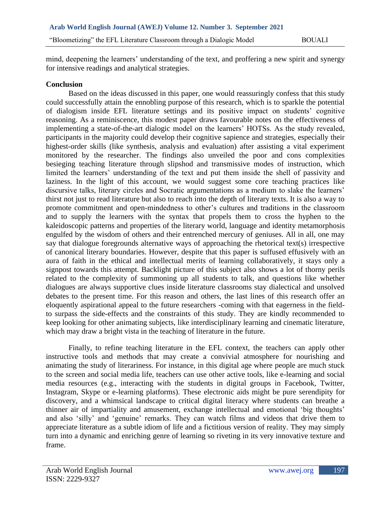mind, deepening the learners' understanding of the text, and proffering a new spirit and synergy for intensive readings and analytical strategies.

## **Conclusion**

Based on the ideas discussed in this paper, one would reassuringly confess that this study could successfully attain the ennobling purpose of this research, which is to sparkle the potential of dialogism inside EFL literature settings and its positive impact on students' cognitive reasoning. As a reminiscence, this modest paper draws favourable notes on the effectiveness of implementing a state-of-the-art dialogic model on the learners' HOTSs. As the study revealed, participants in the majority could develop their cognitive sapience and strategies, especially their highest-order skills (like synthesis, analysis and evaluation) after assisting a vital experiment monitored by the researcher. The findings also unveiled the poor and cons complexities besieging teaching literature through slipshod and transmissive modes of instruction, which limited the learners' understanding of the text and put them inside the shell of passivity and laziness. In the light of this account, we would suggest some core teaching practices like discursive talks, literary circles and Socratic argumentations as a medium to slake the learners' thirst not just to read literature but also to reach into the depth of literary texts. It is also a way to promote commitment and open-mindedness to other's cultures and traditions in the classroom and to supply the learners with the syntax that propels them to cross the hyphen to the kaleidoscopic patterns and properties of the literary world, language and identity metamorphosis engulfed by the wisdom of others and their entrenched mercury of geniuses. All in all, one may say that dialogue foregrounds alternative ways of approaching the rhetorical text(s) irrespective of canonical literary boundaries. However, despite that this paper is suffused effusively with an aura of faith in the ethical and intellectual merits of learning collaboratively, it stays only a signpost towards this attempt. Backlight picture of this subject also shows a lot of thorny perils related to the complexity of summoning up all students to talk, and questions like whether dialogues are always supportive clues inside literature classrooms stay dialectical and unsolved debates to the present time. For this reason and others, the last lines of this research offer an eloquently aspirational appeal to the future researchers -coming with that eagerness in the fieldto surpass the side-effects and the constraints of this study. They are kindly recommended to keep looking for other animating subjects, like interdisciplinary learning and cinematic literature, which may draw a bright vista in the teaching of literature in the future.

Finally, to refine teaching literature in the EFL context, the teachers can apply other instructive tools and methods that may create a convivial atmosphere for nourishing and animating the study of literariness. For instance, in this digital age where people are much stuck to the screen and social media life, teachers can use other active tools, like e-learning and social media resources (e.g., interacting with the students in digital groups in Facebook, Twitter, Instagram, Skype or e-learning platforms). These electronic aids might be pure serendipity for discovery, and a whimsical landscape to critical digital literacy where students can breathe a thinner air of impartiality and amusement, exchange intellectual and emotional 'big thoughts' and also 'silly' and 'genuine' remarks. They can watch films and videos that drive them to appreciate literature as a subtle idiom of life and a fictitious version of reality. They may simply turn into a dynamic and enriching genre of learning so riveting in its very innovative texture and frame.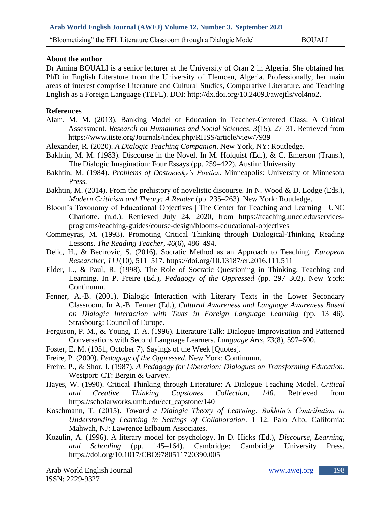#### **About the author**

Dr Amina BOUALI is a senior lecturer at the University of Oran 2 in Algeria. She obtained her PhD in English Literature from the University of Tlemcen, Algeria. Professionally, her main areas of interest comprise Literature and Cultural Studies, Comparative Literature, and Teaching English as a Foreign Language (TEFL). DOI: http://dx.doi.org/10.24093/awejtls/vol4no2.

#### **References**

- Alam, M. M. (2013). Banking Model of Education in Teacher-Centered Class: A Critical Assessment. *Research on Humanities and Social Sciences*, *3*(15), 27–31. Retrieved from https://www.iiste.org/Journals/index.php/RHSS/article/view/7939
- Alexander, R. (2020). *A Dialogic Teaching Companion*. New York, NY: Routledge.
- Bakhtin, M. M. (1983). Discourse in the Novel. In M. Holquist (Ed.), & C. Emerson (Trans.), The Dialogic Imagination: Four Essays (pp. 259–422). Austin: University
- Bakhtin, M. (1984). *Problems of Dostoevsky's Poetics*. Minneapolis: University of Minnesota Press.
- Bakhtin, M. (2014). From the prehistory of novelistic discourse. In N. Wood & D. Lodge (Eds.), *Modern Criticism and Theory: A Reader* (pp. 235–263). New York: Routledge.
- Bloom's Taxonomy of Educational Objectives | The Center for Teaching and Learning | UNC Charlotte. (n.d.). Retrieved July 24, 2020, from https://teaching.uncc.edu/servicesprograms/teaching-guides/course-design/blooms-educational-objectives
- Commeyras, M. (1993). Promoting Critical Thinking through Dialogical-Thinking Reading Lessons. *The Reading Teacher*, *46*(6), 486–494.
- Delic, H., & Becirovic, S. (2016). Socratic Method as an Approach to Teaching. *European Researcher*, *111*(10), 511–517. https://doi.org/10.13187/er.2016.111.511
- Elder, L., & Paul, R. (1998). The Role of Socratic Questioning in Thinking, Teaching and Learning. In P. Freire (Ed.), *Pedagogy of the Oppressed* (pp. 297–302). New York: Continuum.
- Fenner, A.-B. (2001). Dialogic Interaction with Literary Texts in the Lower Secondary Classroom. In A.-B. Fenner (Ed.), *Cultural Awareness and Language Awareness Based on Dialogic Interaction with Texts in Foreign Language Learning* (pp. 13–46). Strasbourg: Council of Europe.
- Ferguson, P. M., & Young, T. A. (1996). Literature Talk: Dialogue Improvisation and Patterned Conversations with Second Language Learners. *Language Arts*, *73*(8), 597–600.
- Foster, E. M. (1951, October 7). Sayings of the Week [Quotes].
- Freire, P. (2000). *Pedagogy of the Oppressed*. New York: Continuum.
- Freire, P., & Shor, I. (1987). *A Pedagogy for Liberation: Dialogues on Transforming Education*. Westport: CT: Bergin & Garvey.
- Hayes, W. (1990). Critical Thinking through Literature: A Dialogue Teaching Model. *Critical and Creative Thinking Capstones Collection*, *140*. Retrieved from https://scholarworks.umb.edu/cct\_capstone/140
- Koschmann, T. (2015). *Toward a Dialogic Theory of Learning: Bakhtin's Contribution to Understanding Learning in Settings of Collaboration*. 1–12. Palo Alto, California: Mahwah, NJ: Lawrence Erlbaum Associates.
- Kozulin, A. (1996). A literary model for psychology. In D. Hicks (Ed.), *Discourse, Learning, and Schooling* (pp. 145–164). Cambridge: Cambridge University Press. https://doi.org/10.1017/CBO9780511720390.005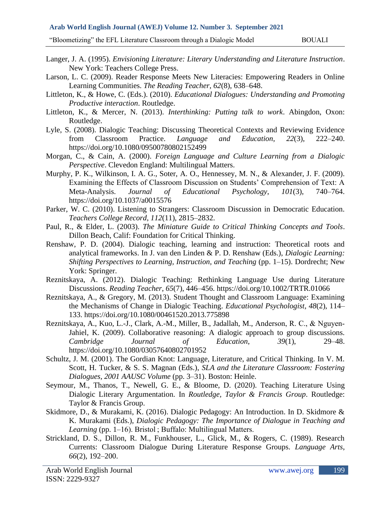#### **Arab World English Journal (AWEJ) Volume 12. Number 3. September 2021**

"Bloometizing" the EFL Literature Classroom through a Dialogic Model BOUALI

- Langer, J. A. (1995). *Envisioning Literature: Literary Understanding and Literature Instruction*. New York: Teachers College Press.
- Larson, L. C. (2009). Reader Response Meets New Literacies: Empowering Readers in Online Learning Communities. *The Reading Teacher*, *62*(8), 638–648.
- Littleton, K., & Howe, C. (Eds.). (2010). *Educational Dialogues: Understanding and Promoting Productive interaction*. Routledge.
- Littleton, K., & Mercer, N. (2013). *Interthinking: Putting talk to work*. Abingdon, Oxon: Routledge.
- Lyle, S. (2008). Dialogic Teaching: Discussing Theoretical Contexts and Reviewing Evidence from Classroom Practice. *Language and Education*, *22*(3), 222–240. https://doi.org/10.1080/09500780802152499
- Morgan, C., & Cain, A. (2000). *Foreign Language and Culture Learning from a Dialogic Perspective*. Clevedon England: Multilingual Matters.
- Murphy, P. K., Wilkinson, I. A. G., Soter, A. O., Hennessey, M. N., & Alexander, J. F. (2009). Examining the Effects of Classroom Discussion on Students' Comprehension of Text: A Meta-Analysis. *Journal of Educational Psychology*, *101*(3), 740–764. https://doi.org/10.1037/a0015576
- Parker, W. C. (2010). Listening to Strangers: Classroom Discussion in Democratic Education. *Teachers College Record*, *112*(11), 2815–2832.
- Paul, R., & Elder, L. (2003). *The Miniature Guide to Critical Thinking Concepts and Tools*. Dillon Beach, Calif: Foundation for Critical Thinking.
- Renshaw, P. D. (2004). Dialogic teaching, learning and instruction: Theoretical roots and analytical frameworks. In J. van den Linden & P. D. Renshaw (Eds.), *Dialogic Learning: Shifting Perspectives to Learning, Instruction, and Teaching* (pp. 1–15). Dordrecht; New York: Springer.
- Reznitskaya, A. (2012). Dialogic Teaching: Rethinking Language Use during Literature Discussions. *Reading Teacher*, *65*(7), 446–456. https://doi.org/10.1002/TRTR.01066
- Reznitskaya, A., & Gregory, M. (2013). Student Thought and Classroom Language: Examining the Mechanisms of Change in Dialogic Teaching. *Educational Psychologist*, *48*(2), 114– 133. https://doi.org/10.1080/00461520.2013.775898
- Reznitskaya, A., Kuo, L.-J., Clark, A.-M., Miller, B., Jadallah, M., Anderson, R. C., & Nguyen‐ Jahiel, K. (2009). Collaborative reasoning: A dialogic approach to group discussions. *Cambridge Journal of Education*, *39*(1), 29–48. https://doi.org/10.1080/03057640802701952
- Schultz, J. M. (2001). The Gordian Knot: Language, Literature, and Critical Thinking. In V. M. Scott, H. Tucker, & S. S. Magnan (Eds.), *SLA and the Literature Classroom: Fostering Dialogues, 2001 AAUSC Volume* (pp. 3–31). Boston: Heinle.
- Seymour, M., Thanos, T., Newell, G. E., & Bloome, D. (2020). Teaching Literature Using Dialogic Literary Argumentation. In *Routledge, Taylor & Francis Group*. Routledge: Taylor & Francis Group.
- Skidmore, D., & Murakami, K. (2016). Dialogic Pedagogy: An Introduction. In D. Skidmore & K. Murakami (Eds.), *Dialogic Pedagogy: The Importance of Dialogue in Teaching and Learning* (pp. 1–16). Bristol ; Buffalo: Multilingual Matters.
- Strickland, D. S., Dillon, R. M., Funkhouser, L., Glick, M., & Rogers, C. (1989). Research Currents: Classroom Dialogue During Literature Response Groups. *Language Arts*, *66*(2), 192–200.